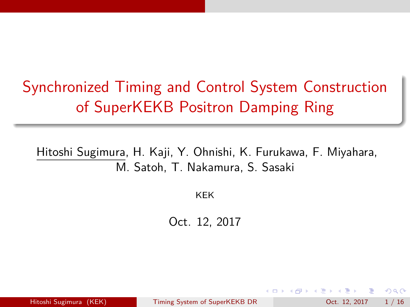# <span id="page-0-0"></span>Synchronized Timing and Control System Construction of SuperKEKB Positron Damping Ring

Hitoshi Sugimura, H. Kaji, Y. Ohnishi, K. Furukawa, F. Miyahara, M. Satoh, T. Nakamura, S. Sasaki

KEK

Oct. 12, 2017

Hitoshi Sugimura (KEK) [Timing System of SuperKEKB DR](#page-18-0) Oct. 12, 2017 1/16

 $QQQ$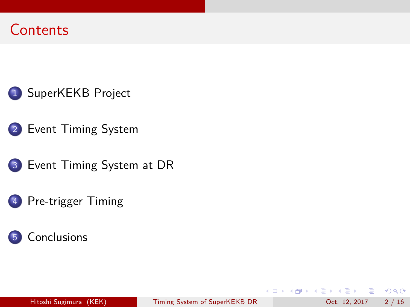



- 3 [Event Timing System at DR](#page-9-0)
	- [Pre-trigger Timing](#page-12-0)



K ロ ▶ K 個 ▶ K 로 ▶ K 로 ▶ 『로 『 YO Q @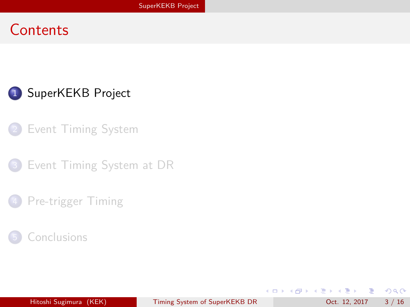<span id="page-2-0"></span>

- **[Event Timing System](#page-5-0)**
- [Event Timing System at DR](#page-9-0)
- [Pre-trigger Timing](#page-12-0)
- **[Conclusions](#page-17-0)**

 $2990$ 

イロト イ団 トイヨト イヨト 一番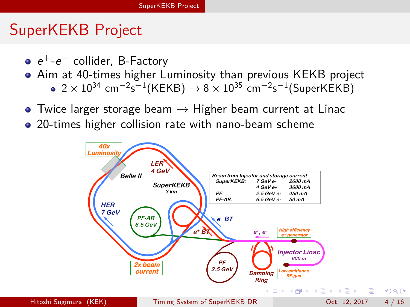### SuperKEKB Project

- $e^+$ - $e^-$  collider, B-Factory
- Aim at 40-times higher Luminosity than previous KEKB project
	- $2\times10^{34}$  cm $^{-2}$ s $^{-1}$ (KEKB)  $\rightarrow$  8  $\times$   $10^{35}$  cm $^{-2}$ s $^{-1}$ (SuperKEKB)
- Twice larger storage beam  $\rightarrow$  Higher beam current at Linac
- 20-times higher collision rate with nano-beam scheme

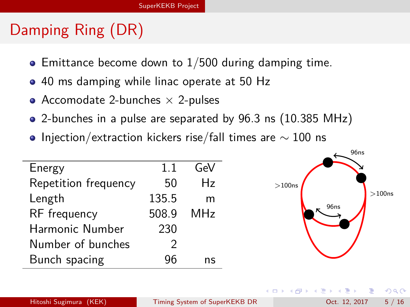# Damping Ring (DR)

- $\bullet$  Emittance become down to 1/500 during damping time.
- 40 ms damping while linac operate at 50 Hz
- Accomodate 2-bunches  $\times$  2-pulses
- 2-bunches in a pulse are separated by 96.3 ns (10.385 MHz)
- $\bullet$  Injection/extraction kickers rise/fall times are  $\sim 100$  ns

|       | GeV |                  |
|-------|-----|------------------|
| 50    | Hz  | >100ns           |
| 135.5 | m   |                  |
| 508.9 | MHz | 96 <sub>ns</sub> |
| 230   |     |                  |
|       |     |                  |
| 9ĥ    | ns  |                  |
|       |     |                  |

æ.

 $\mathcal{A} \ \equiv \ \mathcal{B} \ \ \mathcal{A} \ \equiv \ \mathcal{B}$ 

 $>100n$ s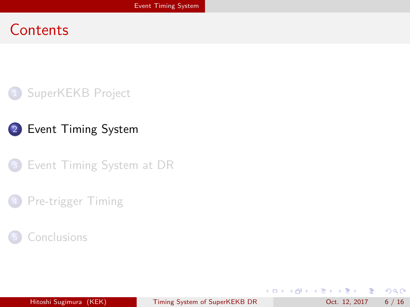<span id="page-5-0"></span>





#### [Pre-trigger Timing](#page-12-0)



 $299$ 

イロト イ団 トイヨト イヨト 一番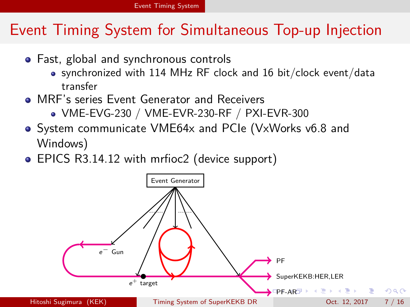### <span id="page-6-0"></span>Event Timing System for Simultaneous Top-up Injection

- Fast, global and synchronous controls
	- synchronized with 114 MHz RF clock and 16 bit/clock event/data transfer
- **MRF's series Event Generator and Receivers** 
	- VME-EVG-230 / VME-EVR-230-RF / PXI-EVR-300
- System communicate VME64x and PCIe (VxWorks v6.8 and Windows)
- EPICS R3.14.12 with mrfioc2 (device support)

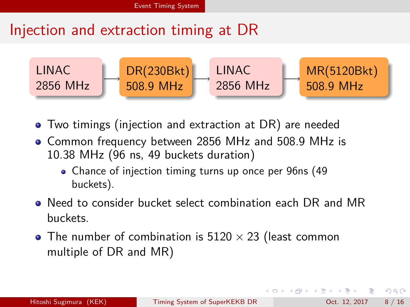## <span id="page-7-0"></span>Injection and extraction timing at DR



- Two timings (injection and extraction at DR) are needed
- Common frequency between 2856 MHz and 508.9 MHz is 10.38 MHz (96 ns, 49 buckets duration)
	- Chance of injection timing turns up once per 96ns (49 buckets).
- Need to consider bucket select combination each DR and MR buckets.
- The number of combination is  $5120 \times 23$  (least common multiple of DR and MR)

 $\Omega$ 

医毛囊 医牙骨下的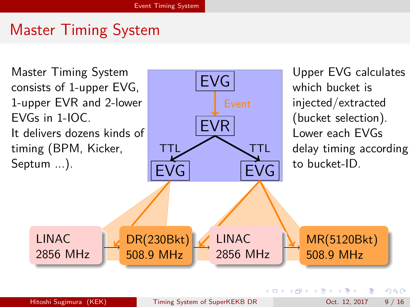## Master Timing System

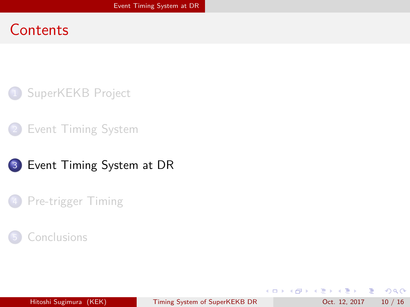<span id="page-9-0"></span>





[Pre-trigger Timing](#page-12-0)

#### **[Conclusions](#page-17-0)**

D.

 $2990$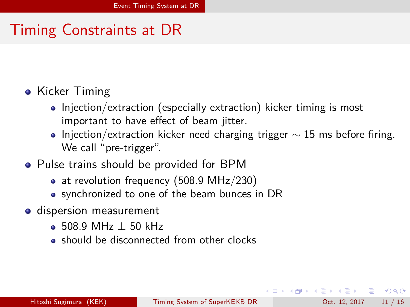## Timing Constraints at DR

- Kicker Timing
	- Injection/extraction (especially extraction) kicker timing is most important to have effect of beam jitter.
	- Injection/extraction kicker need charging trigger  $\sim$  15 ms before firing. We call "pre-trigger".
- Pulse trains should be provided for BPM
	- at revolution frequency (508.9 MHz/230)
	- synchronized to one of the beam bunces in DR
- **o** dispersion measurement
	- $\bullet$  508.9 MHz  $+$  50 kHz
	- should be disconnected from other clocks

 $QQ$ 

*同下 イミト イミト*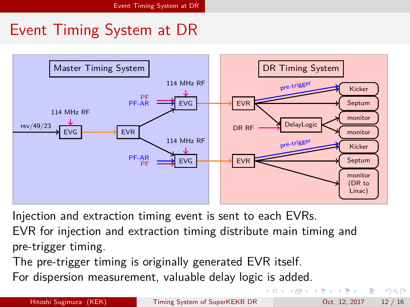## <span id="page-11-0"></span>Event Timing System at DR



Injection and extraction timing event is sent to each EVRs.

EVR for injection and extraction timing distribute main timing and pre-trigger timing.

The pre-trigger timing is originally generated EVR itself.

For dispersion measurement, valuable delay logic is added.

 $QQ$ 

 $\left\{ \begin{array}{ccc} 1 & 0 & 0 \\ 0 & 1 & 0 \end{array} \right.$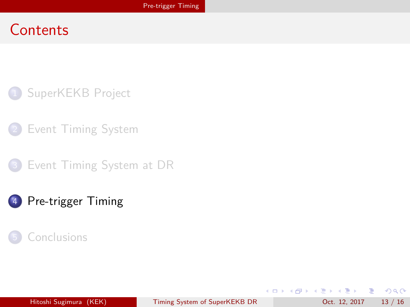<span id="page-12-0"></span>

- **[Event Timing System](#page-5-0)**
- [Event Timing System at DR](#page-9-0)

#### 4 [Pre-trigger Timing](#page-12-0)

#### **[Conclusions](#page-17-0)**

 $OQ$ D.

**K ロ ト K 何 ト K ヨ ト K ヨ ト**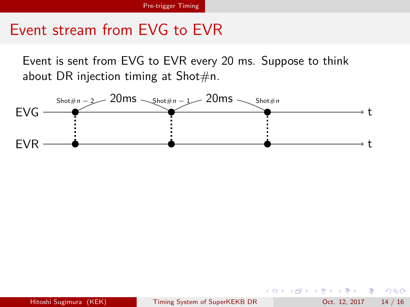<span id="page-13-0"></span>Event is sent from EVG to EVR every 20 ms. Suppose to think about DR injection timing at Shot $\#n$ .



Hitoshi Sugimura (KEK) [Timing System of SuperKEKB DR](#page-0-0) Oct. 12, 2017 14 / 16

 $\rightarrow$   $\equiv$   $\rightarrow$ 

目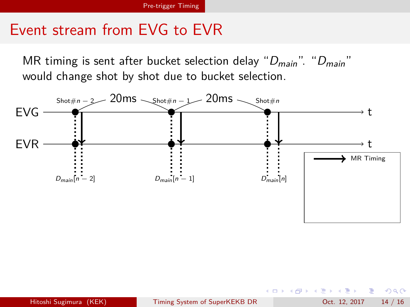MR timing is sent after bucket selection delay " $D_{main}$ ". " $D_{main}$ " would change shot by shot due to bucket selection.

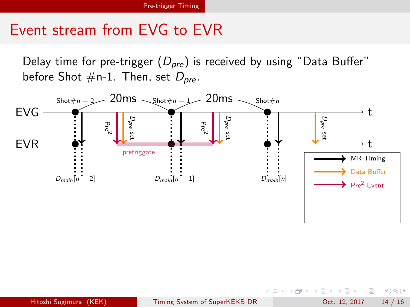<span id="page-15-0"></span>Delay time for pre-trigger  $(D_{pre})$  is received by using "Data Buffer" before Shot  $\#$ n-1. Then, set  $D_{pre}$ .



 $\rightarrow$   $\pm$   $\rightarrow$ 

æ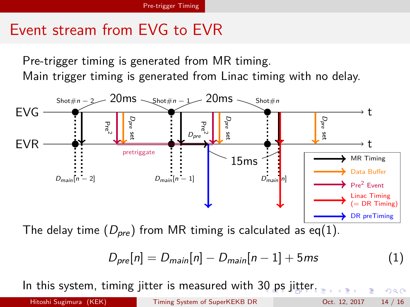<span id="page-16-0"></span>Pre-trigger timing is generated from MR timing. Main trigger timing is generated from Linac timing with no delay.



$$
D_{pre}[n] = D_{main}[n] - D_{main}[n-1] + 5ms \tag{1}
$$

In this system, timing jitter is measured with [30](#page-15-0) [ps](#page-17-0) [ji](#page-12-0)[t](#page-16-0)t[e](#page-17-0)[r.](#page-11-0)

Hitoshi Sugimura (KEK) [Timing System of SuperKEKB DR](#page-0-0) Oct. 12, 2017 14 / 16

 $\Omega$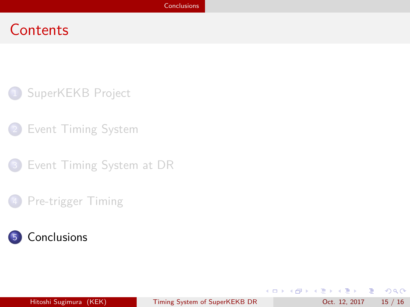<span id="page-17-0"></span>

- **[Event Timing System](#page-5-0)**
- [Event Timing System at DR](#page-9-0)
- [Pre-trigger Timing](#page-12-0)



 $ORO$ 

イロト イ団 トイミト イモト 一毛